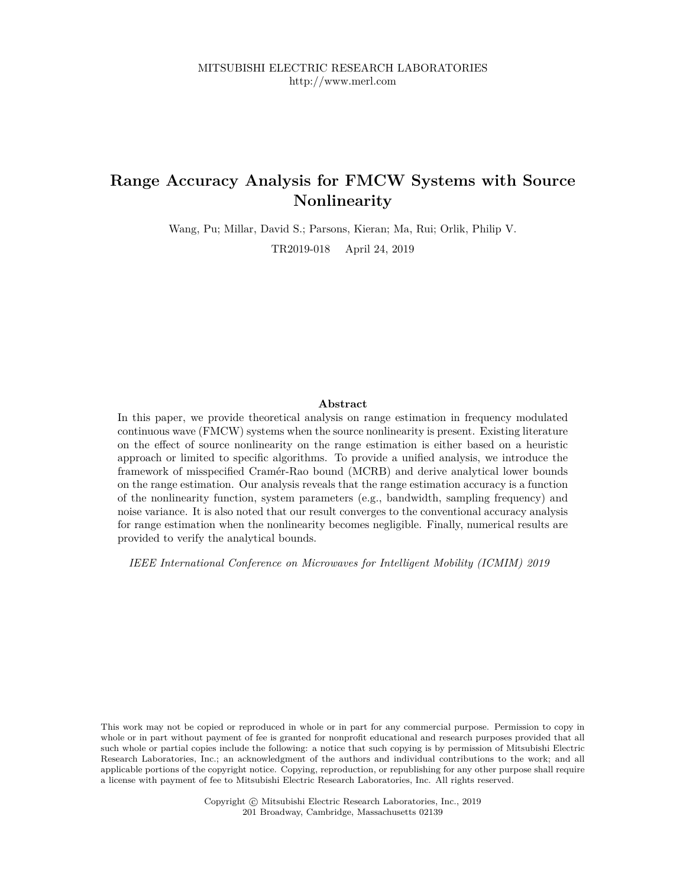# **Range Accuracy Analysis for FMCW Systems with Source Nonlinearity**

Wang, Pu; Millar, David S.; Parsons, Kieran; Ma, Rui; Orlik, Philip V.

TR2019-018 April 24, 2019

## **Abstract**

In this paper, we provide theoretical analysis on range estimation in frequency modulated continuous wave (FMCW) systems when the source nonlinearity is present. Existing literature on the effect of source nonlinearity on the range estimation is either based on a heuristic approach or limited to specific algorithms. To provide a unified analysis, we introduce the framework of misspecified Cramér-Rao bound (MCRB) and derive analytical lower bounds on the range estimation. Our analysis reveals that the range estimation accuracy is a function of the nonlinearity function, system parameters (e.g., bandwidth, sampling frequency) and noise variance. It is also noted that our result converges to the conventional accuracy analysis for range estimation when the nonlinearity becomes negligible. Finally, numerical results are provided to verify the analytical bounds.

*IEEE International Conference on Microwaves for Intelligent Mobility (ICMIM) 2019*

This work may not be copied or reproduced in whole or in part for any commercial purpose. Permission to copy in whole or in part without payment of fee is granted for nonprofit educational and research purposes provided that all such whole or partial copies include the following: a notice that such copying is by permission of Mitsubishi Electric Research Laboratories, Inc.; an acknowledgment of the authors and individual contributions to the work; and all applicable portions of the copyright notice. Copying, reproduction, or republishing for any other purpose shall require a license with payment of fee to Mitsubishi Electric Research Laboratories, Inc. All rights reserved.

> Copyright © Mitsubishi Electric Research Laboratories, Inc., 2019 201 Broadway, Cambridge, Massachusetts 02139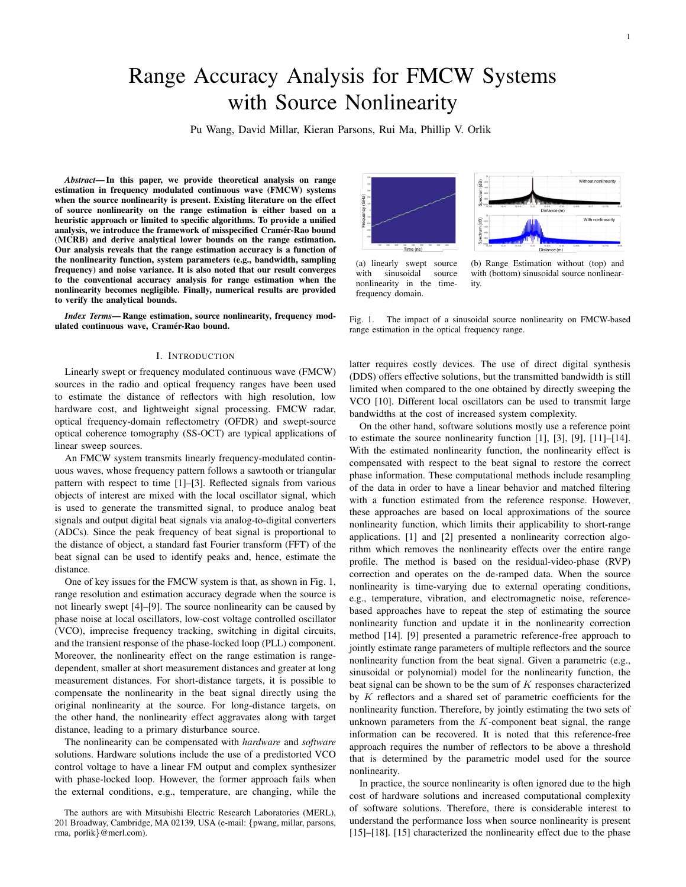# Range Accuracy Analysis for FMCW Systems with Source Nonlinearity

Pu Wang, David Millar, Kieran Parsons, Rui Ma, Phillip V. Orlik

*Abstract*— In this paper, we provide theoretical analysis on range estimation in frequency modulated continuous wave (FMCW) systems when the source nonlinearity is present. Existing literature on the effect of source nonlinearity on the range estimation is either based on a heuristic approach or limited to specific algorithms. To provide a unified analysis, we introduce the framework of misspecified Cramer-Rao bound ´ (MCRB) and derive analytical lower bounds on the range estimation. Our analysis reveals that the range estimation accuracy is a function of the nonlinearity function, system parameters (e.g., bandwidth, sampling frequency) and noise variance. It is also noted that our result converges to the conventional accuracy analysis for range estimation when the nonlinearity becomes negligible. Finally, numerical results are provided to verify the analytical bounds.

*Index Terms*— Range estimation, source nonlinearity, frequency modulated continuous wave, Cramer-Rao bound. ´

#### I. INTRODUCTION

Linearly swept or frequency modulated continuous wave (FMCW) sources in the radio and optical frequency ranges have been used to estimate the distance of reflectors with high resolution, low hardware cost, and lightweight signal processing. FMCW radar, optical frequency-domain reflectometry (OFDR) and swept-source optical coherence tomography (SS-OCT) are typical applications of linear sweep sources.

An FMCW system transmits linearly frequency-modulated continuous waves, whose frequency pattern follows a sawtooth or triangular pattern with respect to time [1]–[3]. Reflected signals from various objects of interest are mixed with the local oscillator signal, which is used to generate the transmitted signal, to produce analog beat signals and output digital beat signals via analog-to-digital converters (ADCs). Since the peak frequency of beat signal is proportional to the distance of object, a standard fast Fourier transform (FFT) of the beat signal can be used to identify peaks and, hence, estimate the distance.

One of key issues for the FMCW system is that, as shown in Fig. 1, range resolution and estimation accuracy degrade when the source is not linearly swept [4]–[9]. The source nonlinearity can be caused by phase noise at local oscillators, low-cost voltage controlled oscillator (VCO), imprecise frequency tracking, switching in digital circuits, and the transient response of the phase-locked loop (PLL) component. Moreover, the nonlinearity effect on the range estimation is rangedependent, smaller at short measurement distances and greater at long measurement distances. For short-distance targets, it is possible to compensate the nonlinearity in the beat signal directly using the original nonlinearity at the source. For long-distance targets, on the other hand, the nonlinearity effect aggravates along with target distance, leading to a primary disturbance source.

The nonlinearity can be compensated with *hardware* and *software* solutions. Hardware solutions include the use of a predistorted VCO control voltage to have a linear FM output and complex synthesizer with phase-locked loop. However, the former approach fails when the external conditions, e.g., temperature, are changing, while the





(a) linearly swept source with sinusoidal source nonlinearity in the timefrequency domain.

(b) Range Estimation without (top) and with (bottom) sinusoidal source nonlinearity.

Fig. 1. The impact of a sinusoidal source nonlinearity on FMCW-based range estimation in the optical frequency range.

latter requires costly devices. The use of direct digital synthesis (DDS) offers effective solutions, but the transmitted bandwidth is still limited when compared to the one obtained by directly sweeping the VCO [10]. Different local oscillators can be used to transmit large bandwidths at the cost of increased system complexity.

On the other hand, software solutions mostly use a reference point to estimate the source nonlinearity function  $[1]$ ,  $[3]$ ,  $[9]$ ,  $[11]$ – $[14]$ . With the estimated nonlinearity function, the nonlinearity effect is compensated with respect to the beat signal to restore the correct phase information. These computational methods include resampling of the data in order to have a linear behavior and matched filtering with a function estimated from the reference response. However, these approaches are based on local approximations of the source nonlinearity function, which limits their applicability to short-range applications. [1] and [2] presented a nonlinearity correction algorithm which removes the nonlinearity effects over the entire range profile. The method is based on the residual-video-phase (RVP) correction and operates on the de-ramped data. When the source nonlinearity is time-varying due to external operating conditions, e.g., temperature, vibration, and electromagnetic noise, referencebased approaches have to repeat the step of estimating the source nonlinearity function and update it in the nonlinearity correction method [14]. [9] presented a parametric reference-free approach to jointly estimate range parameters of multiple reflectors and the source nonlinearity function from the beat signal. Given a parametric (e.g., sinusoidal or polynomial) model for the nonlinearity function, the beat signal can be shown to be the sum of  $K$  responses characterized by K reflectors and a shared set of parametric coefficients for the nonlinearity function. Therefore, by jointly estimating the two sets of unknown parameters from the  $K$ -component beat signal, the range information can be recovered. It is noted that this reference-free approach requires the number of reflectors to be above a threshold that is determined by the parametric model used for the source nonlinearity.

In practice, the source nonlinearity is often ignored due to the high cost of hardware solutions and increased computational complexity of software solutions. Therefore, there is considerable interest to understand the performance loss when source nonlinearity is present [15]–[18]. [15] characterized the nonlinearity effect due to the phase

The authors are with Mitsubishi Electric Research Laboratories (MERL), 201 Broadway, Cambridge, MA 02139, USA (e-mail: {pwang, millar, parsons, rma, porlik}@merl.com).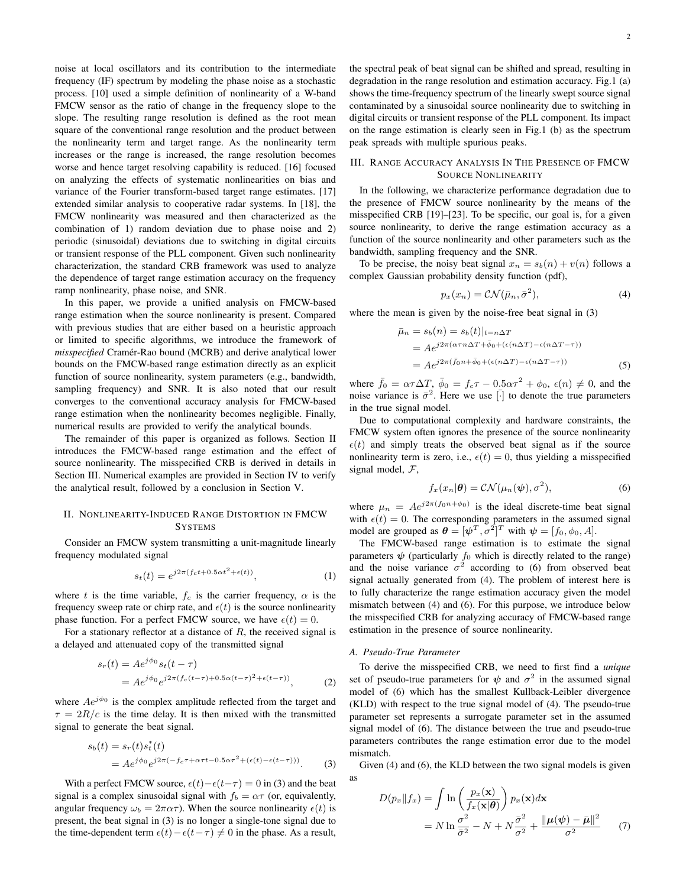noise at local oscillators and its contribution to the intermediate frequency (IF) spectrum by modeling the phase noise as a stochastic process. [10] used a simple definition of nonlinearity of a W-band FMCW sensor as the ratio of change in the frequency slope to the slope. The resulting range resolution is defined as the root mean square of the conventional range resolution and the product between the nonlinearity term and target range. As the nonlinearity term increases or the range is increased, the range resolution becomes worse and hence target resolving capability is reduced. [16] focused on analyzing the effects of systematic nonlinearities on bias and variance of the Fourier transform-based target range estimates. [17] extended similar analysis to cooperative radar systems. In [18], the FMCW nonlinearity was measured and then characterized as the combination of 1) random deviation due to phase noise and 2) periodic (sinusoidal) deviations due to switching in digital circuits or transient response of the PLL component. Given such nonlinearity characterization, the standard CRB framework was used to analyze the dependence of target range estimation accuracy on the frequency ramp nonlinearity, phase noise, and SNR.

In this paper, we provide a unified analysis on FMCW-based range estimation when the source nonlinearity is present. Compared with previous studies that are either based on a heuristic approach or limited to specific algorithms, we introduce the framework of *misspecified* Cramér-Rao bound (MCRB) and derive analytical lower bounds on the FMCW-based range estimation directly as an explicit function of source nonlinearity, system parameters (e.g., bandwidth, sampling frequency) and SNR. It is also noted that our result converges to the conventional accuracy analysis for FMCW-based range estimation when the nonlinearity becomes negligible. Finally, numerical results are provided to verify the analytical bounds.

The remainder of this paper is organized as follows. Section II introduces the FMCW-based range estimation and the effect of source nonlinearity. The misspecified CRB is derived in details in Section III. Numerical examples are provided in Section IV to verify the analytical result, followed by a conclusion in Section V.

# II. NONLINEARITY-INDUCED RANGE DISTORTION IN FMCW **SYSTEMS**

Consider an FMCW system transmitting a unit-magnitude linearly frequency modulated signal

$$
s_t(t) = e^{j2\pi (f_c t + 0.5\alpha t^2 + \epsilon(t))},
$$
\n(1)

where t is the time variable,  $f_c$  is the carrier frequency,  $\alpha$  is the frequency sweep rate or chirp rate, and  $\epsilon(t)$  is the source nonlinearity phase function. For a perfect FMCW source, we have  $\epsilon(t) = 0$ .

For a stationary reflector at a distance of  $R$ , the received signal is a delayed and attenuated copy of the transmitted signal

$$
s_r(t) = Ae^{j\phi_0} s_t(t-\tau)
$$
  
=  $Ae^{j\phi_0} e^{j2\pi (f_c(t-\tau)+0.5\alpha(t-\tau)^2 + \epsilon(t-\tau))},$  (2)

where  $Ae^{j\phi_0}$  is the complex amplitude reflected from the target and  $\tau = 2R/c$  is the time delay. It is then mixed with the transmitted signal to generate the beat signal.

$$
s_b(t) = s_r(t)s_t^*(t)
$$
  
=  $Ae^{j\phi_0}e^{j2\pi(-f_c\tau + \alpha\tau t - 0.5\alpha\tau^2 + (\epsilon(t) - \epsilon(t - \tau)))}$ . (3)

With a perfect FMCW source,  $\epsilon(t) - \epsilon(t-\tau) = 0$  in (3) and the beat signal is a complex sinusoidal signal with  $f_b = \alpha \tau$  (or, equivalently, angular frequency  $\omega_b = 2\pi\alpha\tau$ ). When the source nonlinearity  $\epsilon(t)$  is present, the beat signal in (3) is no longer a single-tone signal due to the time-dependent term  $\epsilon(t) - \epsilon(t-\tau) \neq 0$  in the phase. As a result, the spectral peak of beat signal can be shifted and spread, resulting in degradation in the range resolution and estimation accuracy. Fig.1 (a) shows the time-frequency spectrum of the linearly swept source signal contaminated by a sinusoidal source nonlinearity due to switching in digital circuits or transient response of the PLL component. Its impact on the range estimation is clearly seen in Fig.1 (b) as the spectrum peak spreads with multiple spurious peaks.

### III. RANGE ACCURACY ANALYSIS IN THE PRESENCE OF FMCW SOURCE NONLINEARITY

In the following, we characterize performance degradation due to the presence of FMCW source nonlinearity by the means of the misspecified CRB [19]–[23]. To be specific, our goal is, for a given source nonlinearity, to derive the range estimation accuracy as a function of the source nonlinearity and other parameters such as the bandwidth, sampling frequency and the SNR.

To be precise, the noisy beat signal  $x_n = s_b(n) + v(n)$  follows a complex Gaussian probability density function (pdf),

$$
p_x(x_n) = \mathcal{CN}(\bar{\mu}_n, \bar{\sigma}^2),\tag{4}
$$

where the mean is given by the noise-free beat signal in (3)

$$
\bar{\mu}_n = s_b(n) = s_b(t)|_{t=n\Delta T}
$$
  
=  $Ae^{j2\pi(\alpha\tau n\Delta T + \bar{\phi}_0 + (\epsilon(n\Delta T) - \epsilon(n\Delta T - \tau))}$   
=  $Ae^{j2\pi(\bar{f}_0 n + \bar{\phi}_0 + (\epsilon(n\Delta T) - \epsilon(n\Delta T - \tau))}$  (5)

where  $\bar{f}_0 = \alpha \tau \Delta T$ ,  $\bar{\phi}_0 = f_c \tau - 0.5 \alpha \tau^2 + \phi_0$ ,  $\epsilon(n) \neq 0$ , and the noise variance is  $\bar{\sigma}^2$ . Here we use  $[\cdot]$  to denote the true parameters in the true signal model.

Due to computational complexity and hardware constraints, the FMCW system often ignores the presence of the source nonlinearity  $\epsilon(t)$  and simply treats the observed beat signal as if the source nonlinearity term is zero, i.e.,  $\epsilon(t) = 0$ , thus yielding a misspecified signal model,  $\mathcal{F}$ ,

$$
f_x(x_n|\boldsymbol{\theta}) = \mathcal{CN}(\mu_n(\boldsymbol{\psi}), \sigma^2),\tag{6}
$$

where  $\mu_n = Ae^{j2\pi (f_0 n + \phi_0)}$  is the ideal discrete-time beat signal with  $\epsilon(t) = 0$ . The corresponding parameters in the assumed signal model are grouped as  $\boldsymbol{\theta} = [\boldsymbol{\psi}^T, \sigma^2]^T$  with  $\boldsymbol{\psi} = [f_0, \phi_0, A]$ .

The FMCW-based range estimation is to estimate the signal parameters  $\psi$  (particularly  $f_0$  which is directly related to the range) and the noise variance  $\sigma^2$  according to (6) from observed beat signal actually generated from (4). The problem of interest here is to fully characterize the range estimation accuracy given the model mismatch between (4) and (6). For this purpose, we introduce below the misspecified CRB for analyzing accuracy of FMCW-based range estimation in the presence of source nonlinearity.

#### *A. Pseudo-True Parameter*

To derive the misspecified CRB, we need to first find a *unique* set of pseudo-true parameters for  $\psi$  and  $\sigma^2$  in the assumed signal model of (6) which has the smallest Kullback-Leibler divergence (KLD) with respect to the true signal model of (4). The pseudo-true parameter set represents a surrogate parameter set in the assumed signal model of (6). The distance between the true and pseudo-true parameters contributes the range estimation error due to the model mismatch.

Given (4) and (6), the KLD between the two signal models is given as

$$
D(p_x||f_x) = \int \ln\left(\frac{p_x(\mathbf{x})}{f_x(\mathbf{x}|\boldsymbol{\theta})}\right) p_x(\mathbf{x}) d\mathbf{x}
$$
  
=  $N \ln \frac{\sigma^2}{\sigma^2} - N + N \frac{\bar{\sigma}^2}{\sigma^2} + \frac{\|\boldsymbol{\mu}(\boldsymbol{\psi}) - \bar{\boldsymbol{\mu}}\|^2}{\sigma^2}$  (7)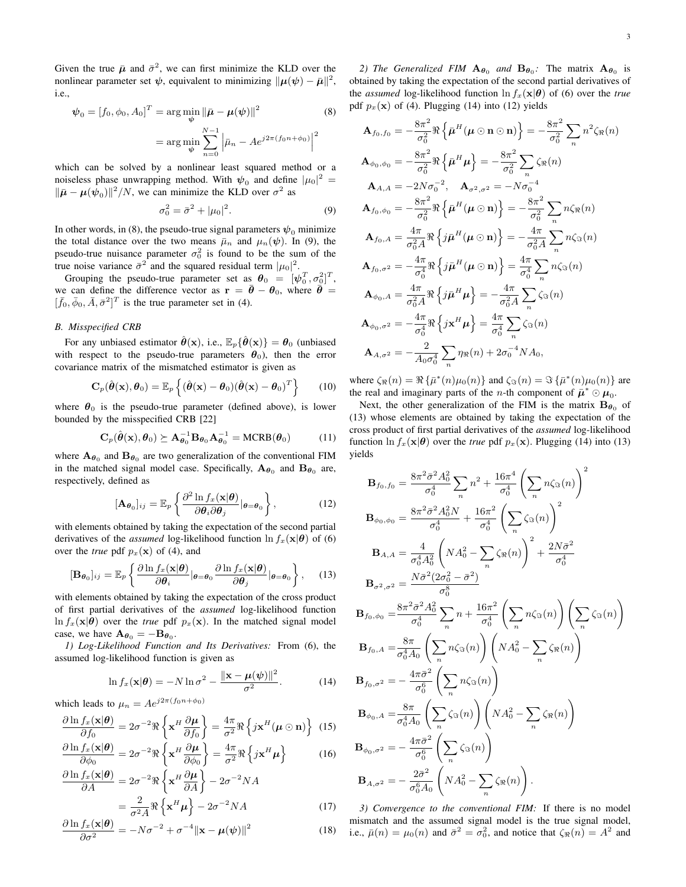Given the true  $\bar{\mu}$  and  $\bar{\sigma}^2$ , we can first minimize the KLD over the nonlinear parameter set  $\psi$ , equivalent to minimizing  $\|\mu(\psi) - \bar{\mu}\|^2$ , i.e.,

$$
\psi_0 = [f_0, \phi_0, A_0]^T = \arg\min_{\psi} \|\bar{\mu} - \mu(\psi)\|^2
$$
\n
$$
= \arg\min_{\psi} \sum_{n=0}^{N-1} \left| \bar{\mu}_n - Ae^{j2\pi (f_0 n + \phi_0)} \right|^2
$$
\n(8)

which can be solved by a nonlinear least squared method or a noiseless phase unwrapping method. With  $\psi_0$  and define  $|\mu_0|^2 =$  $\|\bar{\boldsymbol{\mu}} - \boldsymbol{\mu}(\boldsymbol{\psi}_0)\|^2/N$ , we can minimize the KLD over  $\sigma^2$  as

$$
\sigma_0^2 = \bar{\sigma}^2 + |\mu_0|^2. \tag{9}
$$

In other words, in (8), the pseudo-true signal parameters  $\psi_0$  minimize the total distance over the two means  $\bar{\mu}_n$  and  $\mu_n(\psi)$ . In (9), the pseudo-true nuisance parameter  $\sigma_0^2$  is found to be the sum of the true noise variance  $\bar{\sigma}^2$  and the squared residual term  $|\mu_0|^2$ .

Grouping the pseudo-true parameter set as  $\boldsymbol{\theta}_0 = [\psi_0^T, \sigma_0^2]^T$ , we can define the difference vector as  $\mathbf{r} = \bar{\theta} - \theta_0$ , where  $\bar{\theta} =$  $[\bar{f}_0, \bar{\phi}_0, \bar{A}, \bar{\sigma}^2]^T$  is the true parameter set in (4).

# *B. Misspecified CRB*

For any unbiased estimator  $\hat{\theta}(\mathbf{x})$ , i.e.,  $\mathbb{E}_p\{\hat{\theta}(\mathbf{x})\} = \theta_0$  (unbiased with respect to the pseudo-true parameters  $\theta_0$ ), then the error covariance matrix of the mismatched estimator is given as

$$
\mathbf{C}_p(\hat{\boldsymbol{\theta}}(\mathbf{x}), \boldsymbol{\theta}_0) = \mathbb{E}_p\left\{(\hat{\boldsymbol{\theta}}(\mathbf{x}) - \boldsymbol{\theta}_0)(\hat{\boldsymbol{\theta}}(\mathbf{x}) - \boldsymbol{\theta}_0)^T\right\}
$$
(10)

where  $\theta_0$  is the pseudo-true parameter (defined above), is lower bounded by the misspecified CRB [22]

$$
\mathbf{C}_p(\hat{\boldsymbol{\theta}}(\mathbf{x}), \boldsymbol{\theta}_0) \succeq \mathbf{A}_{\boldsymbol{\theta}_0}^{-1} \mathbf{B}_{\boldsymbol{\theta}_0} \mathbf{A}_{\boldsymbol{\theta}_0}^{-1} = \text{MCRB}(\boldsymbol{\theta}_0)
$$
(11)

where  $\mathbf{A}_{\theta_0}$  and  $\mathbf{B}_{\theta_0}$  are two generalization of the conventional FIM in the matched signal model case. Specifically,  $A_{\theta_0}$  and  $B_{\theta_0}$  are, respectively, defined as

$$
[\mathbf{A}_{\boldsymbol{\theta}_0}]_{ij} = \mathbb{E}_p \left\{ \frac{\partial^2 \ln f_x(\mathbf{x}|\boldsymbol{\theta})}{\partial \boldsymbol{\theta}_i \partial \boldsymbol{\theta}_j} |_{\boldsymbol{\theta} = \boldsymbol{\theta}_0} \right\},\tag{12}
$$

with elements obtained by taking the expectation of the second partial derivatives of the *assumed* log-likelihood function  $\ln f_x(\mathbf{x}|\boldsymbol{\theta})$  of (6) over the *true* pdf  $p_x(\mathbf{x})$  of (4), and

$$
[\mathbf{B}_{\theta_0}]_{ij} = \mathbb{E}_p \left\{ \frac{\partial \ln f_x(\mathbf{x}|\boldsymbol{\theta})}{\partial \theta_i} |_{\boldsymbol{\theta} = \boldsymbol{\theta}_0} \frac{\partial \ln f_x(\mathbf{x}|\boldsymbol{\theta})}{\partial \theta_j} |_{\boldsymbol{\theta} = \boldsymbol{\theta}_0} \right\}, \quad (13)
$$

with elements obtained by taking the expectation of the cross product of first partial derivatives of the *assumed* log-likelihood function ln  $f_x(\mathbf{x}|\boldsymbol{\theta})$  over the *true* pdf  $p_x(\mathbf{x})$ . In the matched signal model case, we have  $\mathbf{A}_{\boldsymbol{\theta}_0} = -\mathbf{B}_{\boldsymbol{\theta}_0}$ .

*1) Log-Likelihood Function and Its Derivatives:* From (6), the assumed log-likelihood function is given as

$$
\ln f_x(\mathbf{x}|\boldsymbol{\theta}) = -N \ln \sigma^2 - \frac{\|\mathbf{x} - \boldsymbol{\mu}(\boldsymbol{\psi})\|^2}{\sigma^2}.
$$
 (14)

which leads to  $\mu_n = Ae^{j2\pi (f_0 n + \phi_0)}$ 

$$
\frac{\partial \ln f_x(\mathbf{x}|\boldsymbol{\theta})}{\partial f_0} = 2\sigma^{-2} \Re \left\{ \mathbf{x}^H \frac{\partial \boldsymbol{\mu}}{\partial f_0} \right\} = \frac{4\pi}{\sigma^2} \Re \left\{ j \mathbf{x}^H (\boldsymbol{\mu} \odot \mathbf{n}) \right\} (15)
$$

$$
\frac{\partial \ln f_x(\mathbf{x}|\boldsymbol{\theta})}{\partial \phi_0} = 2\sigma^{-2} \Re \left\{ \mathbf{x}^H \frac{\partial \boldsymbol{\mu}}{\partial \phi_0} \right\} = \frac{4\pi}{\sigma^2} \Re \left\{ j \mathbf{x}^H \boldsymbol{\mu} \right\} \tag{16}
$$

$$
\frac{\partial \ln f_x(\mathbf{x}|\boldsymbol{\theta})}{\partial A} = 2\sigma^{-2} \Re \left\{ \mathbf{x}^H \frac{\partial \boldsymbol{\mu}}{\partial A} \right\} - 2\sigma^{-2} NA
$$

$$
= \frac{2}{\sigma^2 A} \Re \left\{ \mathbf{x}^H \boldsymbol{\mu} \right\} - 2\sigma^{-2} NA \tag{17}
$$

$$
\frac{\partial \ln f_x(\mathbf{x}|\boldsymbol{\theta})}{\partial \sigma^2} = -N\sigma^{-2} + \sigma^{-4} \|\mathbf{x} - \boldsymbol{\mu}(\boldsymbol{\psi})\|^2 \tag{18}
$$

2) The Generalized FIM  $A_{\theta_0}$  and  $B_{\theta_0}$ : The matrix  $A_{\theta_0}$  is obtained by taking the expectation of the second partial derivatives of the *assumed* log-likelihood function  $\ln f_x(\mathbf{x}|\boldsymbol{\theta})$  of (6) over the *true* pdf  $p_x(\mathbf{x})$  of (4). Plugging (14) into (12) yields

$$
\mathbf{A}_{f_0, f_0} = -\frac{8\pi^2}{\sigma_0^2} \Re \left\{ \bar{\boldsymbol{\mu}}^H (\boldsymbol{\mu} \odot \mathbf{n} \odot \mathbf{n}) \right\} = -\frac{8\pi^2}{\sigma_0^2} \sum_n n^2 \zeta_{\Re}(n)
$$
  
\n
$$
\mathbf{A}_{\phi_0, \phi_0} = -\frac{8\pi^2}{\sigma_0^2} \Re \left\{ \bar{\boldsymbol{\mu}}^H \boldsymbol{\mu} \right\} = -\frac{8\pi^2}{\sigma_0^2} \sum_n \zeta_{\Re}(n)
$$
  
\n
$$
\mathbf{A}_{A, A} = -2N\sigma_0^{-2}, \quad \mathbf{A}_{\sigma^2, \sigma^2} = -N\sigma_0^{-4}
$$
  
\n
$$
\mathbf{A}_{f_0, \phi_0} = -\frac{8\pi^2}{\sigma_0^2} \Re \left\{ \bar{\boldsymbol{\mu}}^H (\boldsymbol{\mu} \odot \mathbf{n}) \right\} = -\frac{8\pi^2}{\sigma_0^2} \sum_n n \zeta_{\Re}(n)
$$
  
\n
$$
\mathbf{A}_{f_0, A} = \frac{4\pi}{\sigma_0^2 A} \Re \left\{ j \bar{\boldsymbol{\mu}}^H (\boldsymbol{\mu} \odot \mathbf{n}) \right\} = -\frac{4\pi}{\sigma_0^2 A} \sum_n n \zeta_{\Im}(n)
$$
  
\n
$$
\mathbf{A}_{f_0, \sigma^2} = -\frac{4\pi}{\sigma_0^4} \Re \left\{ j \bar{\boldsymbol{\mu}}^H (\boldsymbol{\mu} \odot \mathbf{n}) \right\} = \frac{4\pi}{\sigma_0^4} \sum_n n \zeta_{\Im}(n)
$$
  
\n
$$
\mathbf{A}_{\phi_0, A} = \frac{4\pi}{\sigma_0^2 A} \Re \left\{ j \bar{\boldsymbol{\mu}}^H \boldsymbol{\mu} \right\} = -\frac{4\pi}{\sigma_0^2 A} \sum_n \zeta_{\Im}(n)
$$
  
\n
$$
\mathbf{A}_{\phi_0, \sigma^2} = -\frac{4\pi}{\sigma_0^4} \Re \left\{ j \mathbf{x}^H \boldsymbol{\mu} \right\} = \frac{4\pi}{\sigma_0^4} \sum_n
$$

where  $\zeta_{\Re}(n) = \Re \{\bar{\mu}^*(n)\mu_0(n)\}\$  and  $\zeta_{\Im}(n) = \Im \{\bar{\mu}^*(n)\mu_0(n)\}\$  are the real and imaginary parts of the *n*-th component of  $\bar{\mu}^* \odot \mu_0$ .

Next, the other generalization of the FIM is the matrix  $B_{\theta_0}$  of (13) whose elements are obtained by taking the expectation of the cross product of first partial derivatives of the *assumed* log-likelihood function  $\ln f_x(\mathbf{x}|\boldsymbol{\theta})$  over the *true* pdf  $p_x(\mathbf{x})$ . Plugging (14) into (13) yields

$$
B_{f_0, f_0} = \frac{8\pi^2 \bar{\sigma}^2 A_0^2}{\sigma_0^4} \sum_n n^2 + \frac{16\pi^4}{\sigma_0^4} \left( \sum_n n \zeta_3(n) \right)^2
$$
  
\n
$$
B_{\phi_0, \phi_0} = \frac{8\pi^2 \bar{\sigma}^2 A_0^2 N}{\sigma_0^4} + \frac{16\pi^2}{\sigma_0^4} \left( \sum_n \zeta_{\Im}(n) \right)^2
$$
  
\n
$$
B_{A, A} = \frac{4}{\sigma_0^4 A_0^2} \left( N A_0^2 - \sum_n \zeta_{\Re}(n) \right)^2 + \frac{2N\bar{\sigma}^2}{\sigma_0^4}
$$
  
\n
$$
B_{\sigma^2, \sigma^2} = \frac{N\bar{\sigma}^2 (2\sigma_0^2 - \bar{\sigma}^2)}{\sigma_0^8}
$$
  
\n
$$
B_{f_0, \phi_0} = \frac{8\pi^2 \bar{\sigma}^2 A_0^2}{\sigma_0^4} \sum_n n + \frac{16\pi^2}{\sigma_0^4} \left( \sum_n n \zeta_{\Im}(n) \right) \left( \sum_n \zeta_{\Im}(n) \right)
$$
  
\n
$$
B_{f_0, A} = \frac{8\pi}{\sigma_0^4 A_0} \left( \sum_n n \zeta_{\Im}(n) \right) \left( N A_0^2 - \sum_n \zeta_{\Re}(n) \right)
$$
  
\n
$$
B_{f_0, \sigma^2} = -\frac{4\pi \bar{\sigma}^2}{\sigma_0^6} \left( \sum_n n \zeta_{\Im}(n) \right)
$$
  
\n
$$
B_{\phi_0, A} = \frac{8\pi}{\sigma_0^4 A_0} \left( \sum_n \zeta_{\Im}(n) \right) \left( N A_0^2 - \sum_n \zeta_{\Re}(n) \right)
$$
  
\n
$$
B_{\phi_0, \sigma^2} = -\frac{4\pi \bar{\sigma}^2}{\sigma_0^6} \left( \sum_n \zeta_{\Im}(n) \right)
$$
  
\n
$$
B_{A, \sigma^2} = -\frac{2\bar{\sigma}^2}{\sigma_0^6 A_0} \
$$

(18) i.e.,  $\bar{\mu}(n) = \mu_0(n)$  and  $\bar{\sigma}^2 = \sigma_0^2$ , and notice that  $\zeta_{\Re}(n) = A^2$  and *3) Convergence to the conventional FIM:* If there is no model mismatch and the assumed signal model is the true signal model,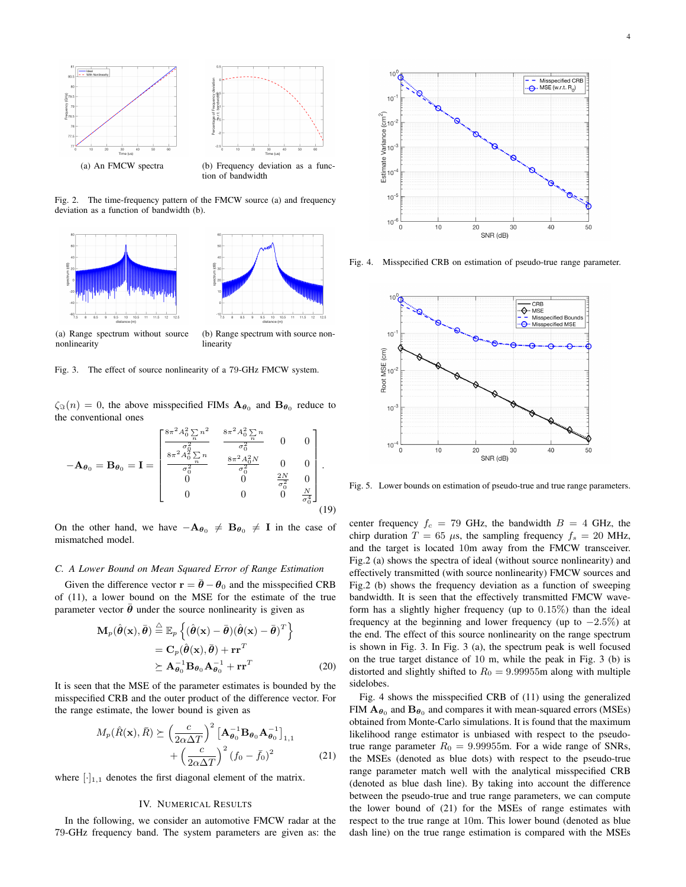

Fig. 2. The time-frequency pattern of the FMCW source (a) and frequency



Fig. 3. The effect of source nonlinearity of a 79-GHz FMCW system.

deviation as a function of bandwidth (b).

 $\zeta_{\Im}(n) = 0$ , the above misspecified FIMs  $\mathbf{A}_{\theta_0}$  and  $\mathbf{B}_{\theta_0}$  reduce to the conventional ones

$$
-\mathbf{A}_{\theta_0} = \mathbf{B}_{\theta_0} = \mathbf{I} = \begin{bmatrix} \frac{8\pi^2 A_0^2 \sum n^2}{n} & \frac{8\pi^2 A_0^2 \sum n}{\sigma_0^2} & 0 & 0\\ \frac{8\pi^2 A_0^2 \sum n}{\sigma_0^2} & \frac{8\pi^2 A_0^2 N}{\sigma_0^2} & 0 & 0\\ 0 & 0 & \frac{2N}{\sigma_0^2} & 0\\ 0 & 0 & 0 & \frac{N}{\sigma_0^4} \end{bmatrix}.
$$
\n(19)

On the other hand, we have  $-\mathbf{A}_{\theta_0} \neq \mathbf{B}_{\theta_0} \neq \mathbf{I}$  in the case of mismatched model.

#### *C. A Lower Bound on Mean Squared Error of Range Estimation*

Given the difference vector  $\mathbf{r} = \bar{\boldsymbol{\theta}} - \boldsymbol{\theta}_0$  and the misspecified CRB of (11), a lower bound on the MSE for the estimate of the true parameter vector  $\bar{\theta}$  under the source nonlinearity is given as

$$
\mathbf{M}_{p}(\hat{\boldsymbol{\theta}}(\mathbf{x}), \bar{\boldsymbol{\theta}}) \stackrel{\triangle}{=} \mathbb{E}_{p} \left\{ (\hat{\boldsymbol{\theta}}(\mathbf{x}) - \bar{\boldsymbol{\theta}}) (\hat{\boldsymbol{\theta}}(\mathbf{x}) - \bar{\boldsymbol{\theta}})^{T} \right\} \n= \mathbf{C}_{p}(\hat{\boldsymbol{\theta}}(\mathbf{x}), \bar{\boldsymbol{\theta}}) + \mathbf{r}\mathbf{r}^{T} \n\geq \mathbf{A}_{\boldsymbol{\theta}_{0}}^{-1} \mathbf{B}_{\boldsymbol{\theta}_{0}} \mathbf{A}_{\boldsymbol{\theta}_{0}}^{-1} + \mathbf{r}\mathbf{r}^{T}
$$
\n(20)

It is seen that the MSE of the parameter estimates is bounded by the misspecified CRB and the outer product of the difference vector. For the range estimate, the lower bound is given as

$$
M_p(\hat{R}(\mathbf{x}), \bar{R}) \succeq \left(\frac{c}{2\alpha \Delta T}\right)^2 \left[\mathbf{A}_{\boldsymbol{\theta}_0}^{-1} \mathbf{B}_{\boldsymbol{\theta}_0} \mathbf{A}_{\boldsymbol{\theta}_0}^{-1}\right]_{1,1} + \left(\frac{c}{2\alpha \Delta T}\right)^2 (f_0 - \bar{f}_0)^2
$$
(21)

where  $[\cdot]_{1,1}$  denotes the first diagonal element of the matrix.

#### IV. NUMERICAL RESULTS

In the following, we consider an automotive FMCW radar at the 79-GHz frequency band. The system parameters are given as: the



Fig. 4. Misspecified CRB on estimation of pseudo-true range parameter.



Fig. 5. Lower bounds on estimation of pseudo-true and true range parameters.

center frequency  $f_c = 79$  GHz, the bandwidth  $B = 4$  GHz, the chirp duration  $T = 65 \mu s$ , the sampling frequency  $f_s = 20 \text{ MHz}$ , and the target is located 10m away from the FMCW transceiver. Fig.2 (a) shows the spectra of ideal (without source nonlinearity) and effectively transmitted (with source nonlinearity) FMCW sources and Fig.2 (b) shows the frequency deviation as a function of sweeping bandwidth. It is seen that the effectively transmitted FMCW waveform has a slightly higher frequency (up to 0.15%) than the ideal frequency at the beginning and lower frequency (up to  $-2.5\%$ ) at the end. The effect of this source nonlinearity on the range spectrum is shown in Fig. 3. In Fig. 3 (a), the spectrum peak is well focused on the true target distance of 10 m, while the peak in Fig. 3 (b) is distorted and slightly shifted to  $R_0 = 9.99955$ m along with multiple sidelobes.

Fig. 4 shows the misspecified CRB of (11) using the generalized FIM  $A_{\theta_0}$  and  $B_{\theta_0}$  and compares it with mean-squared errors (MSEs) obtained from Monte-Carlo simulations. It is found that the maximum likelihood range estimator is unbiased with respect to the pseudotrue range parameter  $R_0 = 9.99955$ m. For a wide range of SNRs, the MSEs (denoted as blue dots) with respect to the pseudo-true range parameter match well with the analytical misspecified CRB (denoted as blue dash line). By taking into account the difference between the pseudo-true and true range parameters, we can compute the lower bound of (21) for the MSEs of range estimates with respect to the true range at 10m. This lower bound (denoted as blue dash line) on the true range estimation is compared with the MSEs